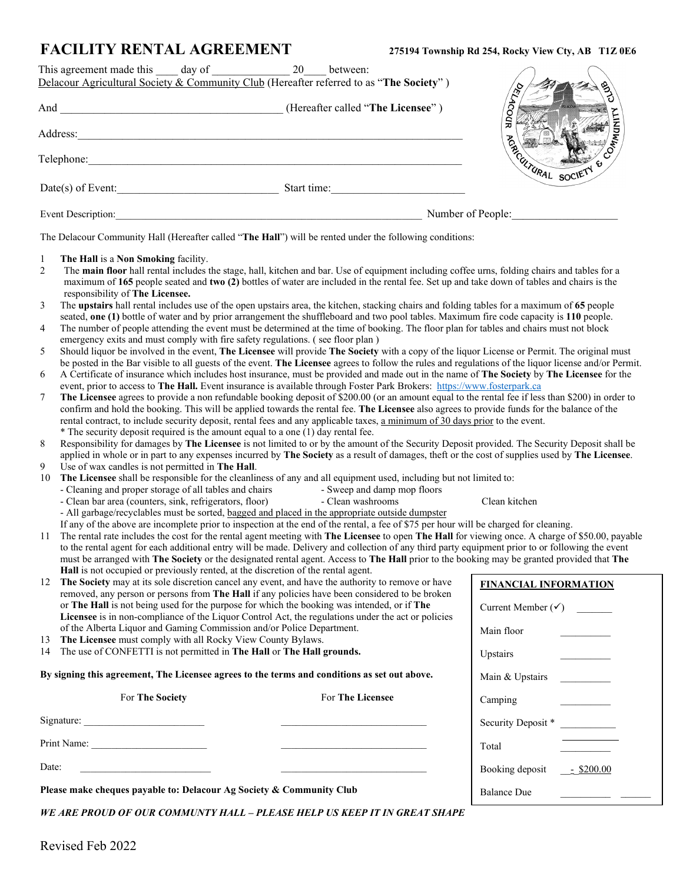Main & Upstairs

Security Deposit \*

Booking deposit \_\_\_\_\_\_ \$200.00

Camping

Total \_\_\_\_\_\_\_\_\_\_

Balance Due \_\_\_\_\_\_\_\_\_\_ \_\_\_\_\_\_

|              | <b>FACILITY RENTAL AGREEMENT</b>                                                                                                                                                                                                                                                        | 275194 Township Rd 254, Rocky View Cty, AB T1Z 0E6 |
|--------------|-----------------------------------------------------------------------------------------------------------------------------------------------------------------------------------------------------------------------------------------------------------------------------------------|----------------------------------------------------|
|              | 20<br>between:                                                                                                                                                                                                                                                                          |                                                    |
|              | Delacour Agricultural Society & Community Club (Hereafter referred to as "The Society")                                                                                                                                                                                                 |                                                    |
|              |                                                                                                                                                                                                                                                                                         | <b>BLS</b>                                         |
|              |                                                                                                                                                                                                                                                                                         | <b>DOCATA</b>                                      |
|              |                                                                                                                                                                                                                                                                                         |                                                    |
|              | Address: <u>The Community of the Community of the Community of the Community of the Community of the Community of the Community of the Community of the Community of the Community of the Community of the Community of the Comm</u>                                                    | COMMUNITY                                          |
|              |                                                                                                                                                                                                                                                                                         |                                                    |
|              | Telephone:                                                                                                                                                                                                                                                                              |                                                    |
|              |                                                                                                                                                                                                                                                                                         |                                                    |
|              | Date(s) of Event: Start time:                                                                                                                                                                                                                                                           | ARCUTURAL SOCIETY &                                |
|              |                                                                                                                                                                                                                                                                                         |                                                    |
|              |                                                                                                                                                                                                                                                                                         | Number of People:                                  |
|              | The Delacour Community Hall (Hereafter called "The Hall") will be rented under the following conditions:                                                                                                                                                                                |                                                    |
| $\mathbf{1}$ | The Hall is a Non Smoking facility.                                                                                                                                                                                                                                                     |                                                    |
| 2            | The main floor hall rental includes the stage, hall, kitchen and bar. Use of equipment including coffee urns, folding chairs and tables for a                                                                                                                                           |                                                    |
|              | maximum of 165 people seated and two (2) bottles of water are included in the rental fee. Set up and take down of tables and chairs is the                                                                                                                                              |                                                    |
|              | responsibility of The Licensee.                                                                                                                                                                                                                                                         |                                                    |
| 3            | The upstairs hall rental includes use of the open upstairs area, the kitchen, stacking chairs and folding tables for a maximum of 65 people<br>seated, one (1) bottle of water and by prior arrangement the shuffleboard and two pool tables. Maximum fire code capacity is 110 people. |                                                    |
| 4            | The number of people attending the event must be determined at the time of booking. The floor plan for tables and chairs must not block                                                                                                                                                 |                                                    |
|              | emergency exits and must comply with fire safety regulations. (see floor plan)                                                                                                                                                                                                          |                                                    |
| 5            | Should liquor be involved in the event, The Licensee will provide The Society with a copy of the liquor License or Permit. The original must                                                                                                                                            |                                                    |
|              | be posted in the Bar visible to all guests of the event. The Licensee agrees to follow the rules and regulations of the liquor license and/or Permit.                                                                                                                                   |                                                    |
| 6            | A Certificate of insurance which includes host insurance, must be provided and made out in the name of The Society by The Licensee for the                                                                                                                                              |                                                    |
| 7            | event, prior to access to The Hall. Event insurance is available through Foster Park Brokers: https://www.fosterpark.ca<br>The Licensee agrees to provide a non refundable booking deposit of \$200.00 (or an amount equal to the rental fee if less than \$200) in order to            |                                                    |
|              | confirm and hold the booking. This will be applied towards the rental fee. The Licensee also agrees to provide funds for the balance of the                                                                                                                                             |                                                    |
|              | rental contract, to include security deposit, rental fees and any applicable taxes, a minimum of 30 days prior to the event.                                                                                                                                                            |                                                    |
|              | * The security deposit required is the amount equal to a one (1) day rental fee.                                                                                                                                                                                                        |                                                    |
| 8            | Responsibility for damages by The Licensee is not limited to or by the amount of the Security Deposit provided. The Security Deposit shall be                                                                                                                                           |                                                    |
|              | applied in whole or in part to any expenses incurred by The Society as a result of damages, theft or the cost of supplies used by The Licensee.                                                                                                                                         |                                                    |
| 9            | Use of wax candles is not permitted in The Hall.                                                                                                                                                                                                                                        |                                                    |
| 10           | The Licensee shall be responsible for the cleanliness of any and all equipment used, including but not limited to:                                                                                                                                                                      |                                                    |
|              | - Cleaning and proper storage of all tables and chairs - Sweep and damp mop floors<br>- Clean bar area (counters, sink, refrigerators, floor) - Clean washrooms<br>- Clean bar area (counters, sink, refrigerators, floor)                                                              | Clean kitchen                                      |
|              | - All garbage/recyclables must be sorted, bagged and placed in the appropriate outside dumpster                                                                                                                                                                                         |                                                    |
|              | If any of the above are incomplete prior to inspection at the end of the rental, a fee of \$75 per hour will be charged for cleaning.                                                                                                                                                   |                                                    |
| 11           | The rental rate includes the cost for the rental agent meeting with The Licensee to open The Hall for viewing once. A charge of \$50.00, payable                                                                                                                                        |                                                    |
|              | to the rental agent for each additional entry will be made. Delivery and collection of any third party equipment prior to or following the event                                                                                                                                        |                                                    |
|              | must be arranged with The Society or the designated rental agent. Access to The Hall prior to the booking may be granted provided that The<br>Hall is not occupied or previously rented, at the discretion of the rental agent.                                                         |                                                    |
| 12           | The Society may at its sole discretion cancel any event, and have the authority to remove or have                                                                                                                                                                                       | <b>FINANCIAL INFORMATION</b>                       |
|              | removed, any person or persons from The Hall if any policies have been considered to be broken                                                                                                                                                                                          |                                                    |
|              | or The Hall is not being used for the purpose for which the booking was intended, or if The                                                                                                                                                                                             | Current Member $(\checkmark)$                      |
|              | Licensee is in non-compliance of the Liquor Control Act, the regulations under the act or policies                                                                                                                                                                                      |                                                    |
|              | of the Alberta Liquor and Gaming Commission and/or Police Department.                                                                                                                                                                                                                   | Main floor                                         |
| 13<br>14     | The Licensee must comply with all Rocky View County Bylaws.<br>The use of CONFETTI is not permitted in The Hall or The Hall grounds.                                                                                                                                                    |                                                    |
|              |                                                                                                                                                                                                                                                                                         | Upstairs                                           |

**By signing this agreement, The Licensee agrees to the terms and conditions as set out above.**

For **The Society** For **The Licensee**

Signature: \_\_\_\_\_\_\_\_\_\_\_\_\_\_\_\_\_\_\_\_\_\_\_\_ \_\_\_\_\_\_\_\_\_\_\_\_\_\_\_\_\_\_\_\_\_\_\_\_\_\_\_\_\_

Print Name:

 $\Box$ 

**Please make cheques payable to: Delacour Ag Society & Community Club**

*WE ARE PROUD OF OUR COMMUNTY HALL – PLEASE HELP US KEEP IT IN GREAT SHAPE*